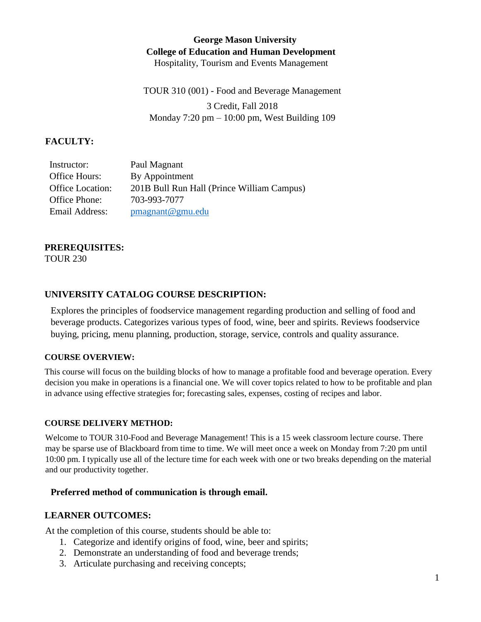# **George Mason University College of Education and Human Development**

Hospitality, Tourism and Events Management

TOUR 310 (001) - Food and Beverage Management

3 Credit, Fall 2018 Monday 7:20 pm – 10:00 pm, West Building 109

# **FACULTY:**

| Instructor:      | Paul Magnant                               |
|------------------|--------------------------------------------|
| Office Hours:    | By Appointment                             |
| Office Location: | 201B Bull Run Hall (Prince William Campus) |
| Office Phone:    | 703-993-7077                               |
| Email Address:   | $p$ magnant@gmu.edu                        |

# **PREREQUISITES:**

TOUR 230

# **UNIVERSITY CATALOG COURSE DESCRIPTION:**

Explores the principles of foodservice management regarding production and selling of food and beverage products. Categorizes various types of food, wine, beer and spirits. Reviews foodservice buying, pricing, menu planning, production, storage, service, controls and quality assurance.

#### **COURSE OVERVIEW:**

This course will focus on the building blocks of how to manage a profitable food and beverage operation. Every decision you make in operations is a financial one. We will cover topics related to how to be profitable and plan in advance using effective strategies for; forecasting sales, expenses, costing of recipes and labor.

#### **COURSE DELIVERY METHOD:**

Welcome to TOUR 310-Food and Beverage Management! This is a 15 week classroom lecture course. There may be sparse use of Blackboard from time to time. We will meet once a week on Monday from 7:20 pm until 10:00 pm. I typically use all of the lecture time for each week with one or two breaks depending on the material and our productivity together.

#### **Preferred method of communication is through email.**

# **LEARNER OUTCOMES:**

At the completion of this course, students should be able to:

- 1. Categorize and identify origins of food, wine, beer and spirits;
- 2. Demonstrate an understanding of food and beverage trends;
- 3. Articulate purchasing and receiving concepts;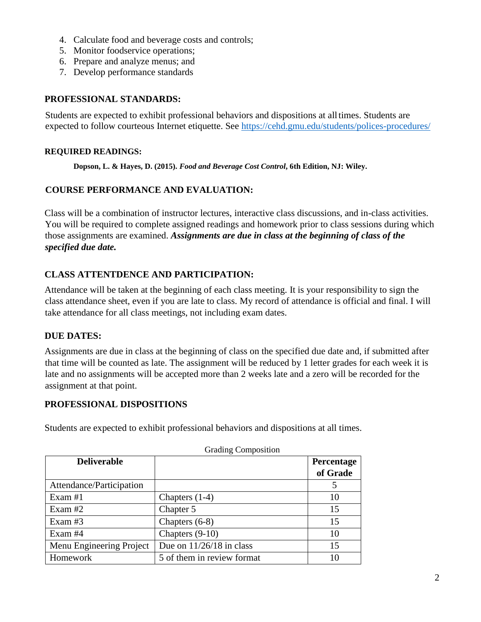- 4. Calculate food and beverage costs and controls;
- 5. Monitor foodservice operations;
- 6. Prepare and analyze menus; and
- 7. Develop performance standards

#### **PROFESSIONAL STANDARDS:**

Students are expected to exhibit professional behaviors and dispositions at alltimes. Students are expected to follow courteous Internet etiquette. See<https://cehd.gmu.edu/students/polices-procedures/>

#### **REQUIRED READINGS:**

**Dopson, L. & Hayes, D. (2015).** *Food and Beverage Cost Control***, 6th Edition, NJ: Wiley.** 

# **COURSE PERFORMANCE AND EVALUATION:**

Class will be a combination of instructor lectures, interactive class discussions, and in-class activities. You will be required to complete assigned readings and homework prior to class sessions during which those assignments are examined. *Assignments are due in class at the beginning of class of the specified due date.*

# **CLASS ATTENTDENCE AND PARTICIPATION:**

Attendance will be taken at the beginning of each class meeting. It is your responsibility to sign the class attendance sheet, even if you are late to class. My record of attendance is official and final. I will take attendance for all class meetings, not including exam dates.

#### **DUE DATES:**

Assignments are due in class at the beginning of class on the specified due date and, if submitted after that time will be counted as late. The assignment will be reduced by 1 letter grades for each week it is late and no assignments will be accepted more than 2 weeks late and a zero will be recorded for the assignment at that point.

# **PROFESSIONAL DISPOSITIONS**

Students are expected to exhibit professional behaviors and dispositions at all times.

| <b>Deliverable</b>       |                            | Percentage |
|--------------------------|----------------------------|------------|
|                          |                            | of Grade   |
| Attendance/Participation |                            |            |
| Exam $#1$                | Chapters $(1-4)$           | 10         |
| Exam $#2$                | Chapter 5                  | 15         |
| Exam $#3$                | Chapters (6-8)             | 15         |
| Exam $#4$                | Chapters $(9-10)$          | 10         |
| Menu Engineering Project | Due on $11/26/18$ in class | 15         |
| Homework                 | 5 of them in review format | 10         |

Grading Composition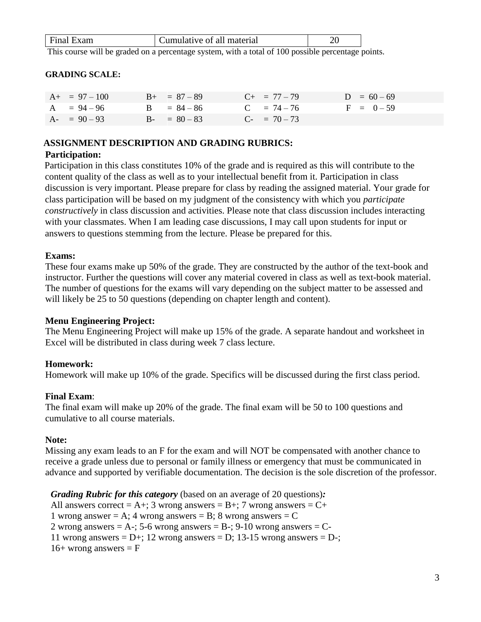|                   |   | lative of all material |  |
|-------------------|---|------------------------|--|
| <b>Property</b> 1 | . | $\sim$ $\sim$ $\sim$   |  |

This course will be graded on a percentage system, with a total of 100 possible percentage points.

#### **GRADING SCALE:**

| $A+ = 97-100$ | $B_{+} = 87 - 89$ | $C_{+}$ = 77 - 79 | $D = 60 - 69$ |
|---------------|-------------------|-------------------|---------------|
| $A = 94 - 96$ | $B = 84 - 86$     | $C = 74 - 76$     | $F = 0-59$    |
| $A - 90 - 93$ | $B - = 80 - 83$   | $C_{-}$ = 70 - 73 |               |

### **ASSIGNMENT DESCRIPTION AND GRADING RUBRICS:**

#### **Participation:**

Participation in this class constitutes 10% of the grade and is required as this will contribute to the content quality of the class as well as to your intellectual benefit from it. Participation in class discussion is very important. Please prepare for class by reading the assigned material. Your grade for class participation will be based on my judgment of the consistency with which you *participate constructively* in class discussion and activities. Please note that class discussion includes interacting with your classmates. When I am leading case discussions, I may call upon students for input or answers to questions stemming from the lecture. Please be prepared for this.

#### **Exams:**

These four exams make up 50% of the grade. They are constructed by the author of the text-book and instructor. Further the questions will cover any material covered in class as well as text-book material. The number of questions for the exams will vary depending on the subject matter to be assessed and will likely be 25 to 50 questions (depending on chapter length and content).

#### **Menu Engineering Project:**

The Menu Engineering Project will make up 15% of the grade. A separate handout and worksheet in Excel will be distributed in class during week 7 class lecture.

#### **Homework:**

Homework will make up 10% of the grade. Specifics will be discussed during the first class period.

#### **Final Exam**:

The final exam will make up 20% of the grade. The final exam will be 50 to 100 questions and cumulative to all course materials.

#### **Note:**

Missing any exam leads to an F for the exam and will NOT be compensated with another chance to receive a grade unless due to personal or family illness or emergency that must be communicated in advance and supported by verifiable documentation. The decision is the sole discretion of the professor.

*Grading Rubric for this category* (based on an average of 20 questions)*:*

All answers correct = A+; 3 wrong answers = B+; 7 wrong answers =  $C+$ 

1 wrong answer = A; 4 wrong answers = B; 8 wrong answers = C

2 wrong answers  $= A$ -; 5-6 wrong answers  $= B$ -; 9-10 wrong answers  $= C$ -

11 wrong answers =  $D+$ ; 12 wrong answers =  $D$ ; 13-15 wrong answers =  $D-$ ;

 $16+$  wrong answers = F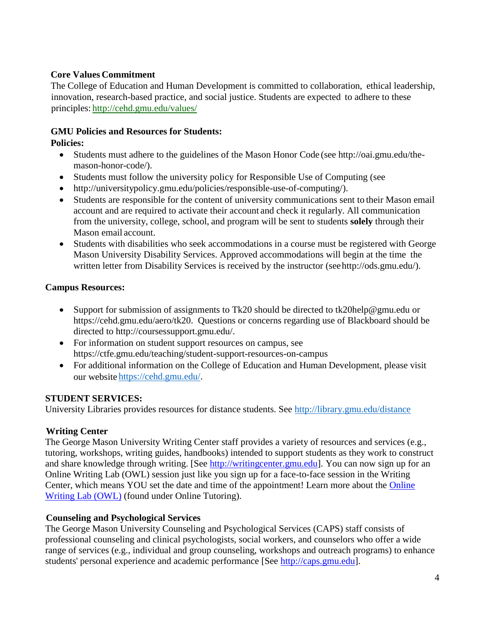# **Core Values Commitment**

The College of Education and Human Development is committed to collaboration, ethical leadership, innovation, research-based practice, and social justice. Students are expected to adhere to these principles: <http://cehd.gmu.edu/values/>

# **GMU Policies and Resources for Students:**

**Policies:**

- Students must adhere to the guidelines of the Mason Honor Code (see [http://oai.gmu.edu/the](http://oai.gmu.edu/the-mason-honor-code/)[mason-honor-code/\)](http://oai.gmu.edu/the-mason-honor-code/).
- Students must follow the university policy for Responsible Use of Computing (see
- [http://universitypolicy.gmu.edu/policies/responsible-use-of-computing/\)](http://universitypolicy.gmu.edu/policies/responsible-use-of-computing/).
- Students are responsible for the content of university communications sent to their Mason email account and are required to activate their account and check it regularly. All communication from the university, college, school, and program will be sent to students **solely** through their Mason email account.
- Students with disabilities who seek accommodations in a course must be registered with George Mason University Disability Services. Approved accommodations will begin at the time the written letter from Disability Services is received by the instructor (se[ehttp://ods.gmu.edu/\)](http://ods.gmu.edu/).

# **Campus Resources:**

- Support for submission of assignments to Tk20 should be directed to [tk20help@gmu.edu](mailto:tk20help@gmu.edu) or [https://cehd.gmu.edu/aero/tk20.](https://cehd.gmu.edu/aero/tk20) Questions or concerns regarding use of Blackboard should be directed to [http://coursessupport.gmu.edu/.](http://coursessupport.gmu.edu/)
- For information on student support resources on campus, see <https://ctfe.gmu.edu/teaching/student-support-resources-on-campus>
- For additional information on the College of Education and Human Development, please visit our website [https://cehd.gmu.edu/.](https://cehd.gmu.edu/)

# **STUDENT SERVICES:**

University Libraries provides resources for distance students. See<http://library.gmu.edu/distance>

# **Writing Center**

The George Mason University Writing Center staff provides a variety of resources and services (e.g., tutoring, workshops, writing guides, handbooks) intended to support students as they work to construct and share knowledge through writing. [See [http://writingcenter.gmu.edu\]](http://writingcenter.gmu.edu/%20/%20Writing%20Center). You can now sign up for an Online Writing Lab (OWL) session just like you sign up for a face-to-face session in the Writing Center, which means YOU set the date and time of the appointment! Learn more about the [Online](http://writingcenter.gmu.edu/?page_id=177%20/%20more-177%20/%20_new)  [Writing Lab \(OWL\)](http://writingcenter.gmu.edu/?page_id=177%20/%20more-177%20/%20_new) (found under Online Tutoring).

# **Counseling and Psychological Services**

The George Mason University Counseling and Psychological Services (CAPS) staff consists of professional counseling and clinical psychologists, social workers, and counselors who offer a wide range of services (e.g., individual and group counseling, workshops and outreach programs) to enhance students' personal experience and academic performance [See [http://caps.gmu.edu\]](http://caps.gmu.edu/%20/%20CAPS%20Office).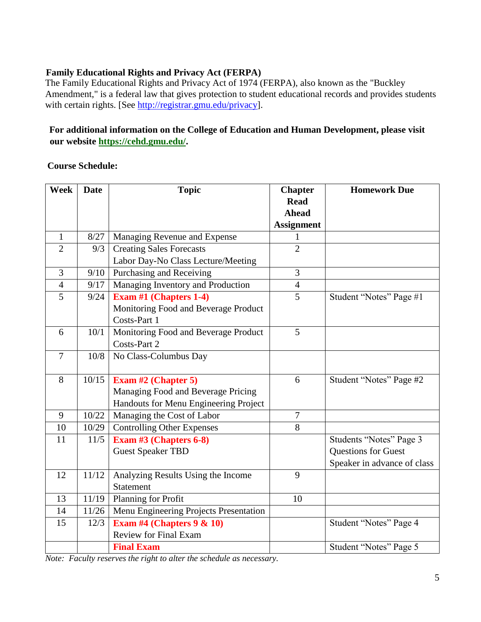# **Family Educational Rights and Privacy Act (FERPA)**

The Family Educational Rights and Privacy Act of 1974 (FERPA), also known as the "Buckley Amendment," is a federal law that gives protection to student educational records and provides students with certain rights. [See [http://registrar.gmu.edu/privacy\]](http://registrar.gmu.edu/privacy%20/%20Registrar%20FERPA%20Policy).

# **For additional information on the College of Education and Human Development, please visit our website https://cehd.gmu.edu/.**

# **Course Schedule:**

| Week           | <b>Date</b> | <b>Topic</b>                           | <b>Chapter</b>    | <b>Homework Due</b>         |
|----------------|-------------|----------------------------------------|-------------------|-----------------------------|
|                |             |                                        | <b>Read</b>       |                             |
|                |             |                                        | <b>Ahead</b>      |                             |
|                |             |                                        | <b>Assignment</b> |                             |
| $\mathbf{1}$   | 8/27        | Managing Revenue and Expense           | 1                 |                             |
| $\overline{2}$ | 9/3         | <b>Creating Sales Forecasts</b>        | $\overline{2}$    |                             |
|                |             | Labor Day-No Class Lecture/Meeting     |                   |                             |
| 3              | 9/10        | Purchasing and Receiving               | 3                 |                             |
| $\overline{4}$ | 9/17        | Managing Inventory and Production      | $\overline{4}$    |                             |
| 5              | 9/24        | Exam #1 (Chapters 1-4)                 | 5                 | Student "Notes" Page #1     |
|                |             | Monitoring Food and Beverage Product   |                   |                             |
|                |             | Costs-Part 1                           |                   |                             |
| 6              | 10/1        | Monitoring Food and Beverage Product   | 5                 |                             |
|                |             | Costs-Part 2                           |                   |                             |
| $\overline{7}$ | 10/8        | No Class-Columbus Day                  |                   |                             |
|                |             |                                        |                   |                             |
| 8              | 10/15       | Exam #2 (Chapter 5)                    | 6                 | Student "Notes" Page #2     |
|                |             | Managing Food and Beverage Pricing     |                   |                             |
|                |             | Handouts for Menu Engineering Project  |                   |                             |
| 9              | 10/22       | Managing the Cost of Labor             | $\overline{7}$    |                             |
| 10             | 10/29       | <b>Controlling Other Expenses</b>      | 8                 |                             |
| 11             | 11/5        | Exam #3 (Chapters 6-8)                 |                   | Students "Notes" Page 3     |
|                |             | <b>Guest Speaker TBD</b>               |                   | <b>Questions for Guest</b>  |
|                |             |                                        |                   | Speaker in advance of class |
| 12             | 11/12       | Analyzing Results Using the Income     | 9                 |                             |
|                |             | <b>Statement</b>                       |                   |                             |
| 13             | 11/19       | Planning for Profit                    | 10                |                             |
| 14             | 11/26       | Menu Engineering Projects Presentation |                   |                             |
| 15             | 12/3        | Exam #4 (Chapters $9 < 10$ )           |                   | Student "Notes" Page 4      |
|                |             | <b>Review for Final Exam</b>           |                   |                             |
|                |             | <b>Final Exam</b>                      |                   | Student "Notes" Page 5      |

*Note: Faculty reserves the right to alter the schedule as necessary.*